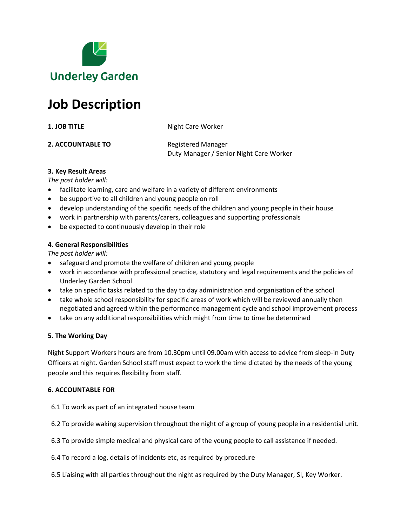

# **Job Description**

**1. JOB TITLE** Night Care Worker

**2. ACCOUNTABLE TO** Registered Manager Duty Manager / Senior Night Care Worker

#### **3. Key Result Areas**

*The post holder will:*

- facilitate learning, care and welfare in a variety of different environments
- be supportive to all children and young people on roll
- develop understanding of the specific needs of the children and young people in their house
- work in partnership with parents/carers, colleagues and supporting professionals
- be expected to continuously develop in their role

#### **4. General Responsibilities**

*The post holder will:*

- safeguard and promote the welfare of children and young people
- work in accordance with professional practice, statutory and legal requirements and the policies of Underley Garden School
- take on specific tasks related to the day to day administration and organisation of the school
- take whole school responsibility for specific areas of work which will be reviewed annually then negotiated and agreed within the performance management cycle and school improvement process
- take on any additional responsibilities which might from time to time be determined

#### **5. The Working Day**

Night Support Workers hours are from 10.30pm until 09.00am with access to advice from sleep-in Duty Officers at night. Garden School staff must expect to work the time dictated by the needs of the young people and this requires flexibility from staff.

#### **6. ACCOUNTABLE FOR**

6.1 To work as part of an integrated house team

6.2 To provide waking supervision throughout the night of a group of young people in a residential unit.

- 6.3 To provide simple medical and physical care of the young people to call assistance if needed.
- 6.4 To record a log, details of incidents etc, as required by procedure
- 6.5 Liaising with all parties throughout the night as required by the Duty Manager, SI, Key Worker.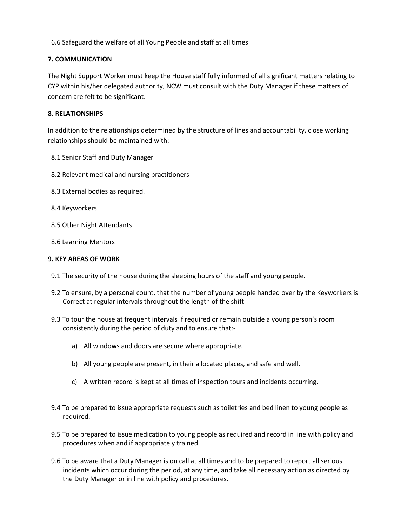6.6 Safeguard the welfare of all Young People and staff at all times

#### **7. COMMUNICATION**

The Night Support Worker must keep the House staff fully informed of all significant matters relating to CYP within his/her delegated authority, NCW must consult with the Duty Manager if these matters of concern are felt to be significant.

#### **8. RELATIONSHIPS**

In addition to the relationships determined by the structure of lines and accountability, close working relationships should be maintained with:-

- 8.1 Senior Staff and Duty Manager
- 8.2 Relevant medical and nursing practitioners
- 8.3 External bodies as required.
- 8.4 Keyworkers
- 8.5 Other Night Attendants
- 8.6 Learning Mentors

#### **9. KEY AREAS OF WORK**

- 9.1 The security of the house during the sleeping hours of the staff and young people.
- 9.2 To ensure, by a personal count, that the number of young people handed over by the Keyworkers is Correct at regular intervals throughout the length of the shift
- 9.3 To tour the house at frequent intervals if required or remain outside a young person's room consistently during the period of duty and to ensure that:
	- a) All windows and doors are secure where appropriate.
	- b) All young people are present, in their allocated places, and safe and well.
	- c) A written record is kept at all times of inspection tours and incidents occurring.
- 9.4 To be prepared to issue appropriate requests such as toiletries and bed linen to young people as required.
- 9.5 To be prepared to issue medication to young people as required and record in line with policy and procedures when and if appropriately trained.
- 9.6 To be aware that a Duty Manager is on call at all times and to be prepared to report all serious incidents which occur during the period, at any time, and take all necessary action as directed by the Duty Manager or in line with policy and procedures.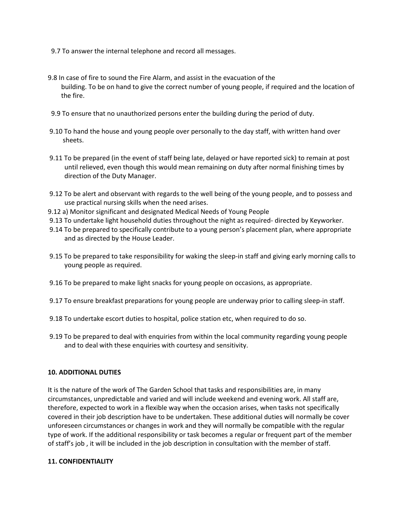- 9.7 To answer the internal telephone and record all messages.
- 9.8 In case of fire to sound the Fire Alarm, and assist in the evacuation of the building. To be on hand to give the correct number of young people, if required and the location of the fire.
- 9.9 To ensure that no unauthorized persons enter the building during the period of duty.
- 9.10 To hand the house and young people over personally to the day staff, with written hand over sheets.
- 9.11 To be prepared (in the event of staff being late, delayed or have reported sick) to remain at post until relieved, even though this would mean remaining on duty after normal finishing times by direction of the Duty Manager.
- 9.12 To be alert and observant with regards to the well being of the young people, and to possess and use practical nursing skills when the need arises.
- 9.12 a) Monitor significant and designated Medical Needs of Young People
- 9.13 To undertake light household duties throughout the night as required- directed by Keyworker.
- 9.14 To be prepared to specifically contribute to a young person's placement plan, where appropriate and as directed by the House Leader.
- 9.15 To be prepared to take responsibility for waking the sleep-in staff and giving early morning calls to young people as required.
- 9.16 To be prepared to make light snacks for young people on occasions, as appropriate.
- 9.17 To ensure breakfast preparations for young people are underway prior to calling sleep-in staff.
- 9.18 To undertake escort duties to hospital, police station etc, when required to do so.
- 9.19 To be prepared to deal with enquiries from within the local community regarding young people and to deal with these enquiries with courtesy and sensitivity.

#### **10. ADDITIONAL DUTIES**

It is the nature of the work of The Garden School that tasks and responsibilities are, in many circumstances, unpredictable and varied and will include weekend and evening work. All staff are, therefore, expected to work in a flexible way when the occasion arises, when tasks not specifically covered in their job description have to be undertaken. These additional duties will normally be cover unforeseen circumstances or changes in work and they will normally be compatible with the regular type of work. If the additional responsibility or task becomes a regular or frequent part of the member of staff's job , it will be included in the job description in consultation with the member of staff.

#### **11. CONFIDENTIALITY**